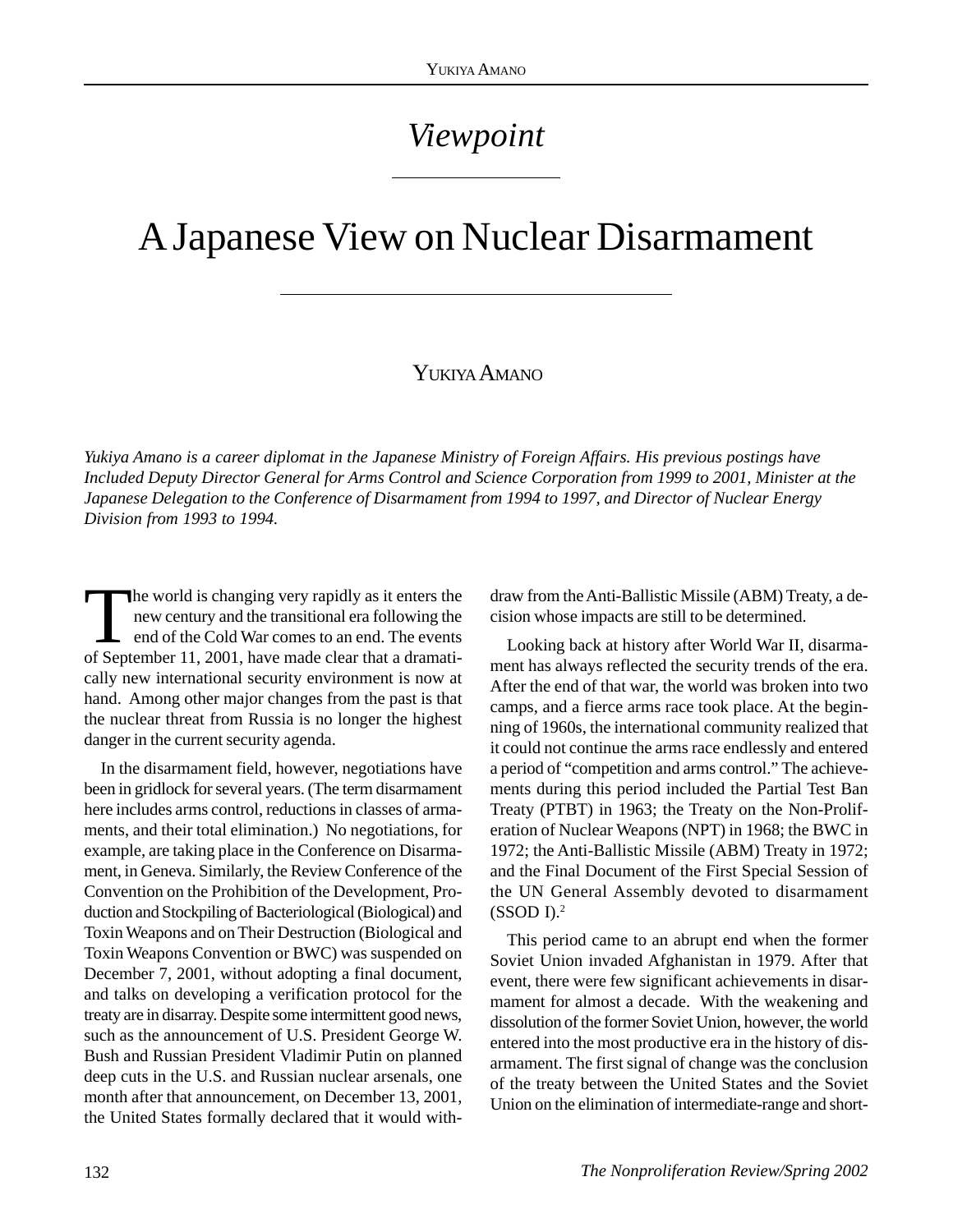## *Viewpoint*

# A Japanese View on Nuclear Disarmament

### YUKIYA AMANO

*Yukiya Amano is a career diplomat in the Japanese Ministry of Foreign Affairs. His previous postings have Included Deputy Director General for Arms Control and Science Corporation from 1999 to 2001, Minister at the Japanese Delegation to the Conference of Disarmament from 1994 to 1997, and Director of Nuclear Energy Division from 1993 to 1994.*

The world is changing very rapidly as it enters the new century and the transitional era following the end of the Cold War comes to an end. The events of September 11, 2001, have made clear that a dramatically new international security environment is now at hand. Among other major changes from the past is that the nuclear threat from Russia is no longer the highest danger in the current security agenda.

In the disarmament field, however, negotiations have been in gridlock for several years. (The term disarmament here includes arms control, reductions in classes of armaments, and their total elimination.) No negotiations, for example, are taking place in the Conference on Disarmament, in Geneva. Similarly, the Review Conference of the Convention on the Prohibition of the Development, Production and Stockpiling of Bacteriological (Biological) and Toxin Weapons and on Their Destruction (Biological and Toxin Weapons Convention or BWC) was suspended on December 7, 2001, without adopting a final document, and talks on developing a verification protocol for the treaty are in disarray. Despite some intermittent good news, such as the announcement of U.S. President George W. Bush and Russian President Vladimir Putin on planned deep cuts in the U.S. and Russian nuclear arsenals, one month after that announcement, on December 13, 2001, the United States formally declared that it would withdraw from the Anti-Ballistic Missile (ABM) Treaty, a decision whose impacts are still to be determined.

Looking back at history after World War II, disarmament has always reflected the security trends of the era. After the end of that war, the world was broken into two camps, and a fierce arms race took place. At the beginning of 1960s, the international community realized that it could not continue the arms race endlessly and entered a period of "competition and arms control." The achievements during this period included the Partial Test Ban Treaty (PTBT) in 1963; the Treaty on the Non-Proliferation of Nuclear Weapons (NPT) in 1968; the BWC in 1972; the Anti-Ballistic Missile (ABM) Treaty in 1972; and the Final Document of the First Special Session of the UN General Assembly devoted to disarmament  $(SSOD I)<sup>2</sup>$ 

This period came to an abrupt end when the former Soviet Union invaded Afghanistan in 1979. After that event, there were few significant achievements in disarmament for almost a decade. With the weakening and dissolution of the former Soviet Union, however, the world entered into the most productive era in the history of disarmament. The first signal of change was the conclusion of the treaty between the United States and the Soviet Union on the elimination of intermediate-range and short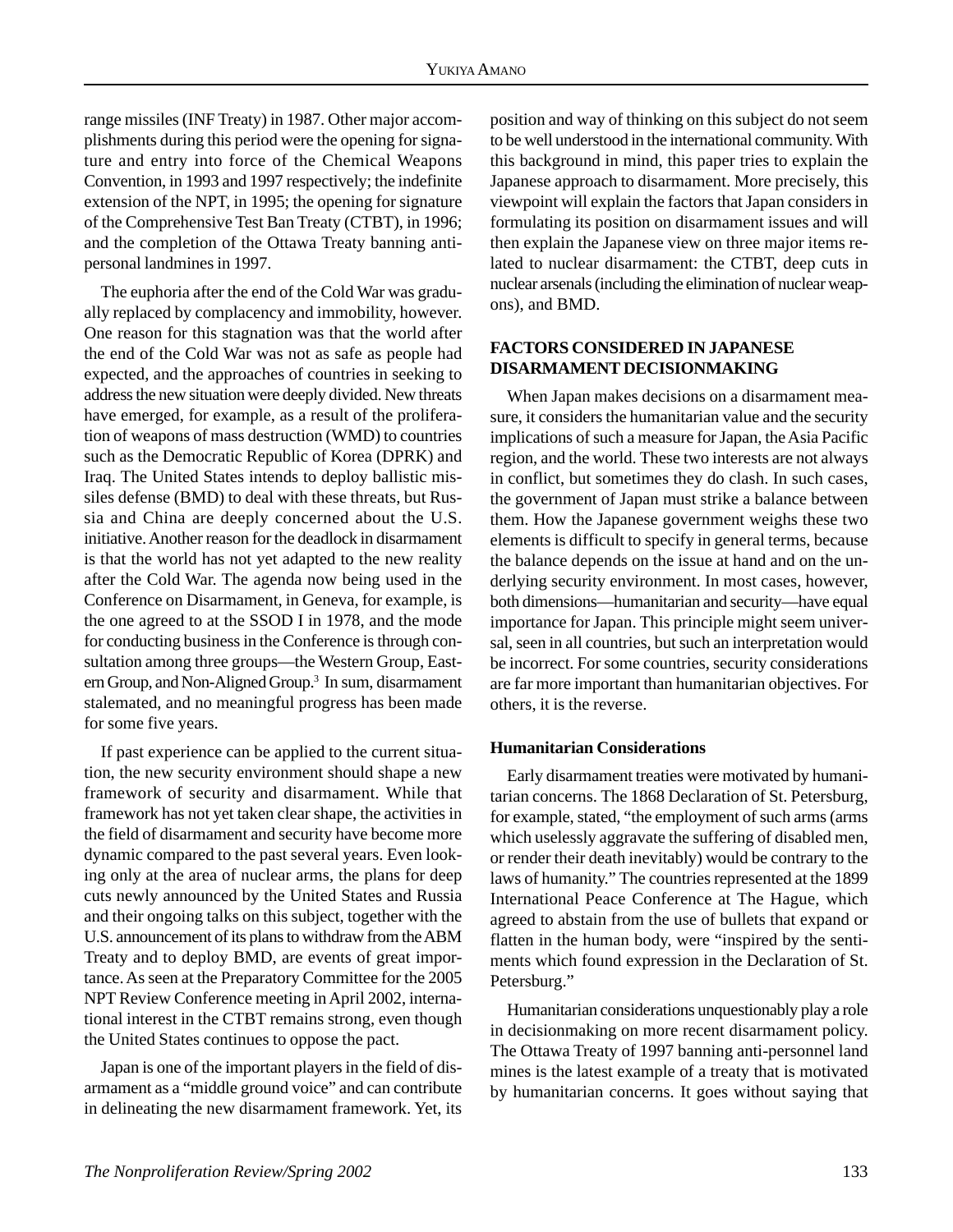range missiles (INF Treaty) in 1987. Other major accomplishments during this period were the opening for signature and entry into force of the Chemical Weapons Convention, in 1993 and 1997 respectively; the indefinite extension of the NPT, in 1995; the opening for signature of the Comprehensive Test Ban Treaty (CTBT), in 1996; and the completion of the Ottawa Treaty banning antipersonal landmines in 1997.

The euphoria after the end of the Cold War was gradually replaced by complacency and immobility, however. One reason for this stagnation was that the world after the end of the Cold War was not as safe as people had expected, and the approaches of countries in seeking to address the new situation were deeply divided. New threats have emerged, for example, as a result of the proliferation of weapons of mass destruction (WMD) to countries such as the Democratic Republic of Korea (DPRK) and Iraq. The United States intends to deploy ballistic missiles defense (BMD) to deal with these threats, but Russia and China are deeply concerned about the U.S. initiative. Another reason for the deadlock in disarmament is that the world has not yet adapted to the new reality after the Cold War. The agenda now being used in the Conference on Disarmament, in Geneva, for example, is the one agreed to at the SSOD I in 1978, and the mode for conducting business in the Conference is through consultation among three groups—the Western Group, Eastern Group, and Non-Aligned Group.<sup>3</sup> In sum, disarmament stalemated, and no meaningful progress has been made for some five years.

If past experience can be applied to the current situation, the new security environment should shape a new framework of security and disarmament. While that framework has not yet taken clear shape, the activities in the field of disarmament and security have become more dynamic compared to the past several years. Even looking only at the area of nuclear arms, the plans for deep cuts newly announced by the United States and Russia and their ongoing talks on this subject, together with the U.S. announcement of its plans to withdraw from the ABM Treaty and to deploy BMD, are events of great importance. As seen at the Preparatory Committee for the 2005 NPT Review Conference meeting in April 2002, international interest in the CTBT remains strong, even though the United States continues to oppose the pact.

Japan is one of the important players in the field of disarmament as a "middle ground voice" and can contribute in delineating the new disarmament framework. Yet, its position and way of thinking on this subject do not seem to be well understood in the international community. With this background in mind, this paper tries to explain the Japanese approach to disarmament. More precisely, this viewpoint will explain the factors that Japan considers in formulating its position on disarmament issues and will then explain the Japanese view on three major items related to nuclear disarmament: the CTBT, deep cuts in nuclear arsenals (including the elimination of nuclear weapons), and BMD.

#### **FACTORS CONSIDERED IN JAPANESE DISARMAMENT DECISIONMAKING**

When Japan makes decisions on a disarmament measure, it considers the humanitarian value and the security implications of such a measure for Japan, the Asia Pacific region, and the world. These two interests are not always in conflict, but sometimes they do clash. In such cases, the government of Japan must strike a balance between them. How the Japanese government weighs these two elements is difficult to specify in general terms, because the balance depends on the issue at hand and on the underlying security environment. In most cases, however, both dimensions—humanitarian and security—have equal importance for Japan. This principle might seem universal, seen in all countries, but such an interpretation would be incorrect. For some countries, security considerations are far more important than humanitarian objectives. For others, it is the reverse.

#### **Humanitarian Considerations**

Early disarmament treaties were motivated by humanitarian concerns. The 1868 Declaration of St. Petersburg, for example, stated, "the employment of such arms (arms which uselessly aggravate the suffering of disabled men, or render their death inevitably) would be contrary to the laws of humanity." The countries represented at the 1899 International Peace Conference at The Hague, which agreed to abstain from the use of bullets that expand or flatten in the human body, were "inspired by the sentiments which found expression in the Declaration of St. Petersburg."

Humanitarian considerations unquestionably play a role in decisionmaking on more recent disarmament policy. The Ottawa Treaty of 1997 banning anti-personnel land mines is the latest example of a treaty that is motivated by humanitarian concerns. It goes without saying that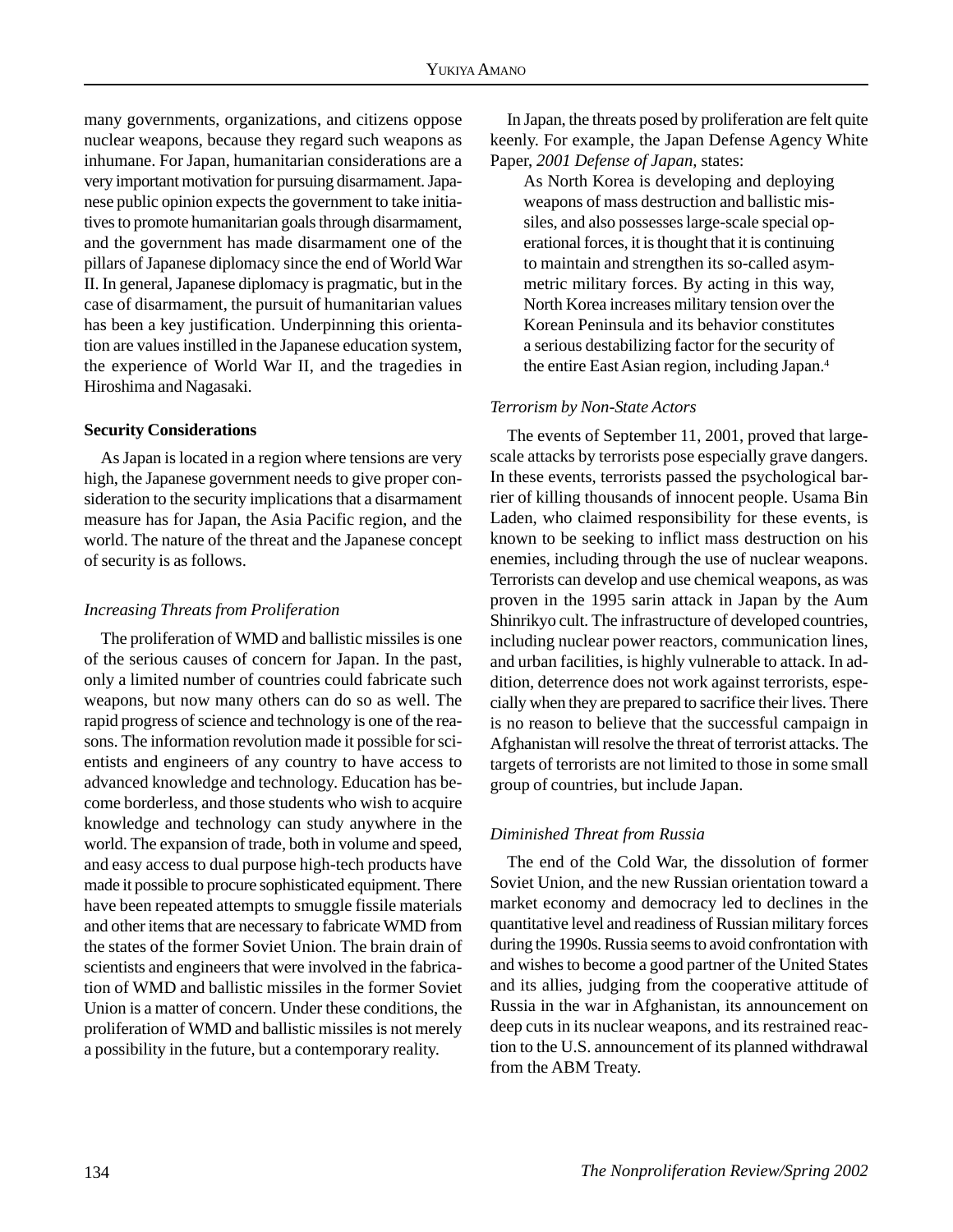many governments, organizations, and citizens oppose nuclear weapons, because they regard such weapons as inhumane. For Japan, humanitarian considerations are a very important motivation for pursuing disarmament. Japanese public opinion expects the government to take initiatives to promote humanitarian goals through disarmament, and the government has made disarmament one of the pillars of Japanese diplomacy since the end of World War II. In general, Japanese diplomacy is pragmatic, but in the case of disarmament, the pursuit of humanitarian values has been a key justification. Underpinning this orientation are values instilled in the Japanese education system, the experience of World War II, and the tragedies in Hiroshima and Nagasaki.

#### **Security Considerations**

As Japan is located in a region where tensions are very high, the Japanese government needs to give proper consideration to the security implications that a disarmament measure has for Japan, the Asia Pacific region, and the world. The nature of the threat and the Japanese concept of security is as follows.

#### *Increasing Threats from Proliferation*

The proliferation of WMD and ballistic missiles is one of the serious causes of concern for Japan. In the past, only a limited number of countries could fabricate such weapons, but now many others can do so as well. The rapid progress of science and technology is one of the reasons. The information revolution made it possible for scientists and engineers of any country to have access to advanced knowledge and technology. Education has become borderless, and those students who wish to acquire knowledge and technology can study anywhere in the world. The expansion of trade, both in volume and speed, and easy access to dual purpose high-tech products have made it possible to procure sophisticated equipment. There have been repeated attempts to smuggle fissile materials and other items that are necessary to fabricate WMD from the states of the former Soviet Union. The brain drain of scientists and engineers that were involved in the fabrication of WMD and ballistic missiles in the former Soviet Union is a matter of concern. Under these conditions, the proliferation of WMD and ballistic missiles is not merely a possibility in the future, but a contemporary reality.

In Japan, the threats posed by proliferation are felt quite keenly. For example, the Japan Defense Agency White Paper, *2001 Defense of Japan,* states:

As North Korea is developing and deploying weapons of mass destruction and ballistic missiles, and also possesses large-scale special operational forces, it is thought that it is continuing to maintain and strengthen its so-called asymmetric military forces. By acting in this way, North Korea increases military tension over the Korean Peninsula and its behavior constitutes a serious destabilizing factor for the security of the entire East Asian region, including Japan.4

#### *Terrorism by Non-State Actors*

The events of September 11, 2001, proved that largescale attacks by terrorists pose especially grave dangers. In these events, terrorists passed the psychological barrier of killing thousands of innocent people. Usama Bin Laden, who claimed responsibility for these events, is known to be seeking to inflict mass destruction on his enemies, including through the use of nuclear weapons. Terrorists can develop and use chemical weapons, as was proven in the 1995 sarin attack in Japan by the Aum Shinrikyo cult. The infrastructure of developed countries, including nuclear power reactors, communication lines, and urban facilities, is highly vulnerable to attack. In addition, deterrence does not work against terrorists, especially when they are prepared to sacrifice their lives. There is no reason to believe that the successful campaign in Afghanistan will resolve the threat of terrorist attacks. The targets of terrorists are not limited to those in some small group of countries, but include Japan.

#### *Diminished Threat from Russia*

The end of the Cold War, the dissolution of former Soviet Union, and the new Russian orientation toward a market economy and democracy led to declines in the quantitative level and readiness of Russian military forces during the 1990s. Russia seems to avoid confrontation with and wishes to become a good partner of the United States and its allies, judging from the cooperative attitude of Russia in the war in Afghanistan, its announcement on deep cuts in its nuclear weapons, and its restrained reaction to the U.S. announcement of its planned withdrawal from the ABM Treaty.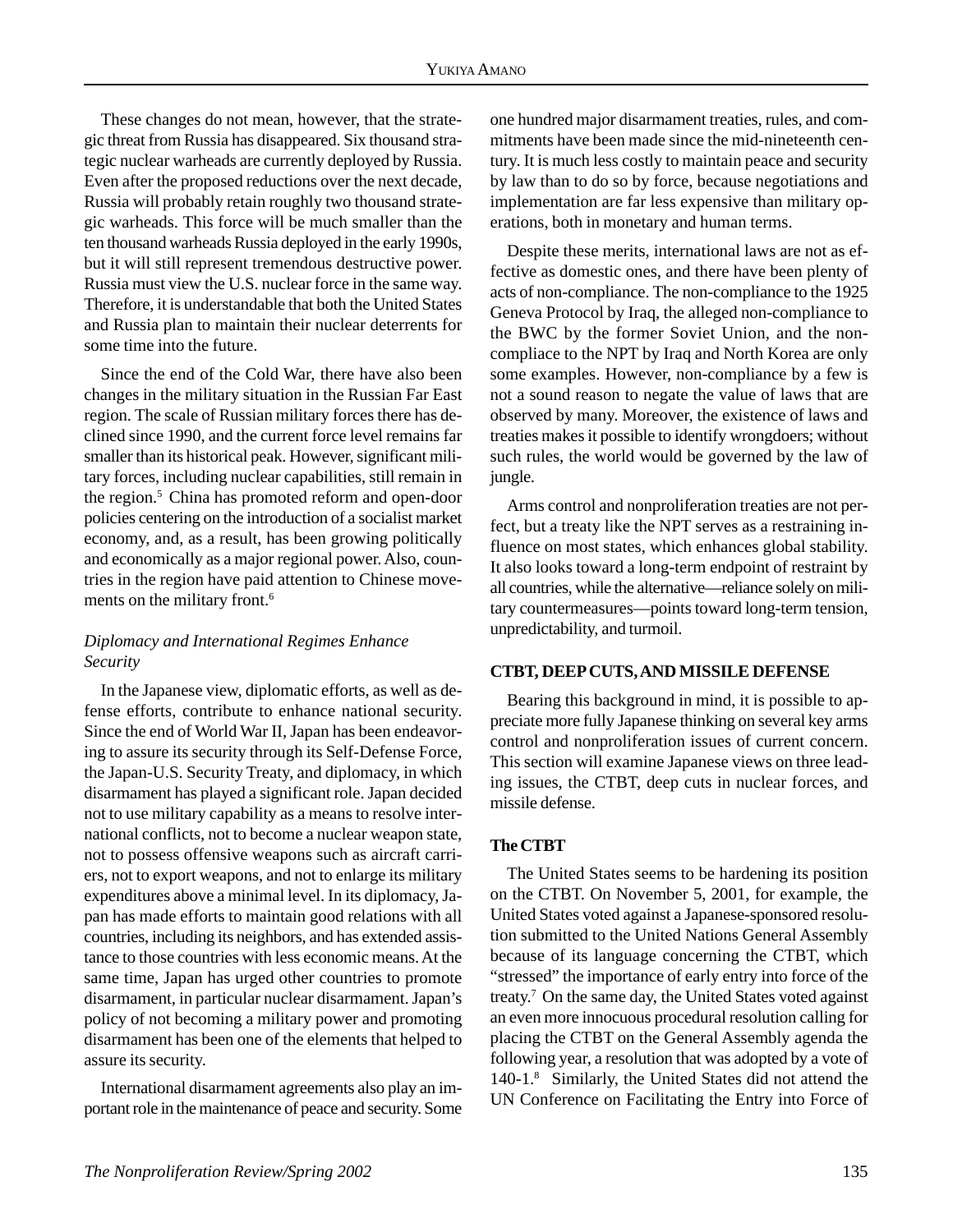These changes do not mean, however, that the strategic threat from Russia has disappeared. Six thousand strategic nuclear warheads are currently deployed by Russia. Even after the proposed reductions over the next decade, Russia will probably retain roughly two thousand strategic warheads. This force will be much smaller than the ten thousand warheads Russia deployed in the early 1990s, but it will still represent tremendous destructive power. Russia must view the U.S. nuclear force in the same way. Therefore, it is understandable that both the United States and Russia plan to maintain their nuclear deterrents for some time into the future.

Since the end of the Cold War, there have also been changes in the military situation in the Russian Far East region. The scale of Russian military forces there has declined since 1990, and the current force level remains far smaller than its historical peak. However, significant military forces, including nuclear capabilities, still remain in the region.5 China has promoted reform and open-door policies centering on the introduction of a socialist market economy, and, as a result, has been growing politically and economically as a major regional power. Also, countries in the region have paid attention to Chinese movements on the military front.6

#### *Diplomacy and International Regimes Enhance Security*

In the Japanese view, diplomatic efforts, as well as defense efforts, contribute to enhance national security. Since the end of World War II, Japan has been endeavoring to assure its security through its Self-Defense Force, the Japan-U.S. Security Treaty, and diplomacy, in which disarmament has played a significant role. Japan decided not to use military capability as a means to resolve international conflicts, not to become a nuclear weapon state, not to possess offensive weapons such as aircraft carriers, not to export weapons, and not to enlarge its military expenditures above a minimal level. In its diplomacy, Japan has made efforts to maintain good relations with all countries, including its neighbors, and has extended assistance to those countries with less economic means. At the same time, Japan has urged other countries to promote disarmament, in particular nuclear disarmament. Japan's policy of not becoming a military power and promoting disarmament has been one of the elements that helped to assure its security.

International disarmament agreements also play an important role in the maintenance of peace and security. Some one hundred major disarmament treaties, rules, and commitments have been made since the mid-nineteenth century. It is much less costly to maintain peace and security by law than to do so by force, because negotiations and implementation are far less expensive than military operations, both in monetary and human terms.

Despite these merits, international laws are not as effective as domestic ones, and there have been plenty of acts of non-compliance. The non-compliance to the 1925 Geneva Protocol by Iraq, the alleged non-compliance to the BWC by the former Soviet Union, and the noncompliace to the NPT by Iraq and North Korea are only some examples. However, non-compliance by a few is not a sound reason to negate the value of laws that are observed by many. Moreover, the existence of laws and treaties makes it possible to identify wrongdoers; without such rules, the world would be governed by the law of jungle.

Arms control and nonproliferation treaties are not perfect, but a treaty like the NPT serves as a restraining influence on most states, which enhances global stability. It also looks toward a long-term endpoint of restraint by all countries, while the alternative—reliance solely on military countermeasures—points toward long-term tension, unpredictability, and turmoil.

#### **CTBT, DEEP CUTS, AND MISSILE DEFENSE**

Bearing this background in mind, it is possible to appreciate more fully Japanese thinking on several key arms control and nonproliferation issues of current concern. This section will examine Japanese views on three leading issues, the CTBT, deep cuts in nuclear forces, and missile defense.

#### **The CTBT**

The United States seems to be hardening its position on the CTBT. On November 5, 2001, for example, the United States voted against a Japanese-sponsored resolution submitted to the United Nations General Assembly because of its language concerning the CTBT, which "stressed" the importance of early entry into force of the treaty.7 On the same day, the United States voted against an even more innocuous procedural resolution calling for placing the CTBT on the General Assembly agenda the following year, a resolution that was adopted by a vote of 140-1.8 Similarly, the United States did not attend the UN Conference on Facilitating the Entry into Force of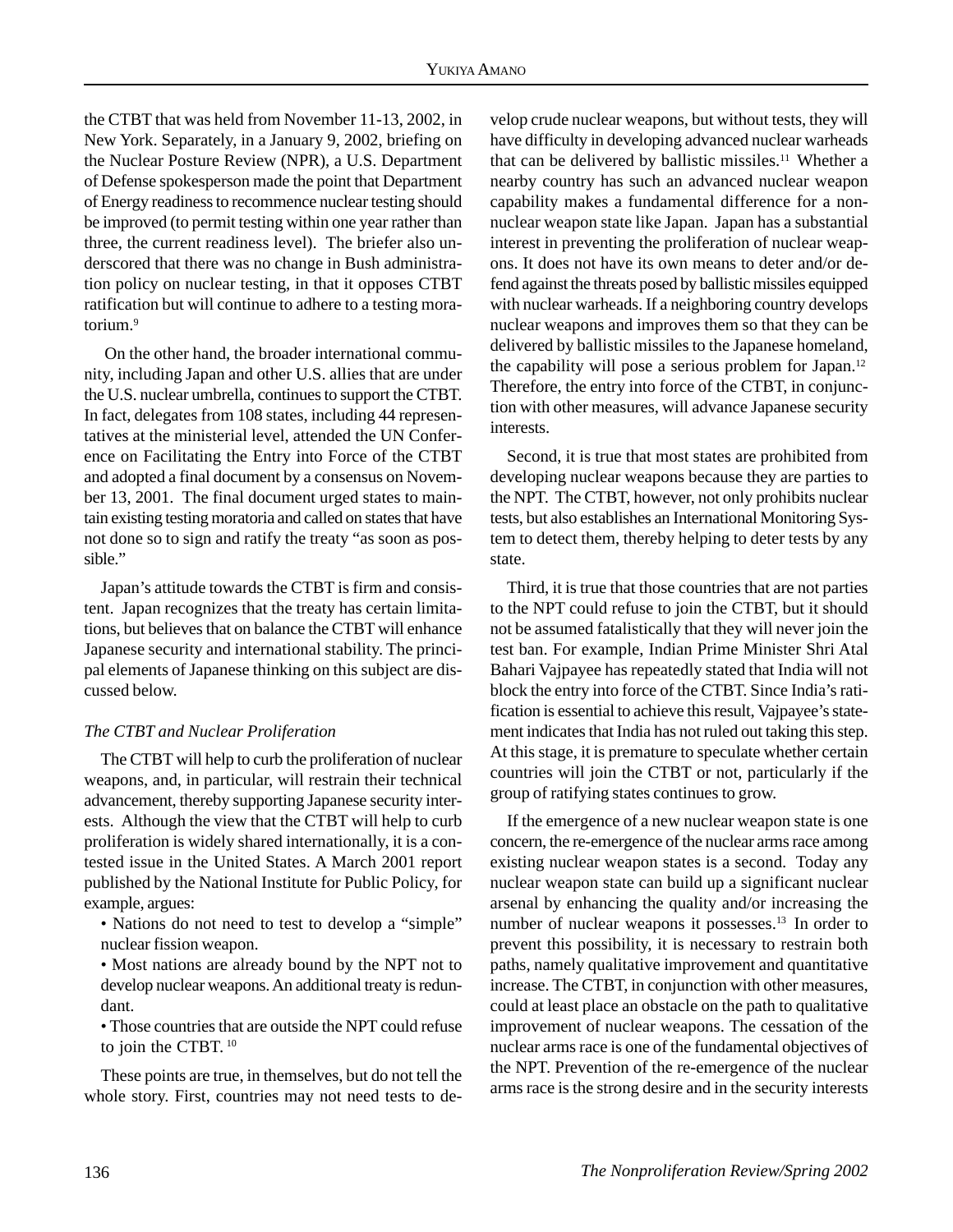the CTBT that was held from November 11-13, 2002, in New York. Separately, in a January 9, 2002, briefing on the Nuclear Posture Review (NPR), a U.S. Department of Defense spokesperson made the point that Department of Energy readiness to recommence nuclear testing should be improved (to permit testing within one year rather than three, the current readiness level). The briefer also underscored that there was no change in Bush administration policy on nuclear testing, in that it opposes CTBT ratification but will continue to adhere to a testing moratorium.9

 On the other hand, the broader international community, including Japan and other U.S. allies that are under the U.S. nuclear umbrella, continues to support the CTBT. In fact, delegates from 108 states, including 44 representatives at the ministerial level, attended the UN Conference on Facilitating the Entry into Force of the CTBT and adopted a final document by a consensus on November 13, 2001. The final document urged states to maintain existing testing moratoria and called on states that have not done so to sign and ratify the treaty "as soon as possible."

Japan's attitude towards the CTBT is firm and consistent. Japan recognizes that the treaty has certain limitations, but believes that on balance the CTBT will enhance Japanese security and international stability. The principal elements of Japanese thinking on this subject are discussed below.

#### *The CTBT and Nuclear Proliferation*

The CTBT will help to curb the proliferation of nuclear weapons, and, in particular, will restrain their technical advancement, thereby supporting Japanese security interests.Although the view that the CTBT will help to curb proliferation is widely shared internationally, it is a contested issue in the United States. A March 2001 report published by the National Institute for Public Policy, for example, argues:

• Nations do not need to test to develop a "simple" nuclear fission weapon.

• Most nations are already bound by the NPT not to develop nuclear weapons. An additional treaty is redundant.

• Those countries that are outside the NPT could refuse to join the CTBT.<sup>10</sup>

These points are true, in themselves, but do not tell the whole story. First, countries may not need tests to develop crude nuclear weapons, but without tests, they will have difficulty in developing advanced nuclear warheads that can be delivered by ballistic missiles. $11$  Whether a nearby country has such an advanced nuclear weapon capability makes a fundamental difference for a nonnuclear weapon state like Japan. Japan has a substantial interest in preventing the proliferation of nuclear weapons. It does not have its own means to deter and/or defend against the threats posed by ballistic missiles equipped with nuclear warheads. If a neighboring country develops nuclear weapons and improves them so that they can be delivered by ballistic missiles to the Japanese homeland, the capability will pose a serious problem for Japan.<sup>12</sup> Therefore, the entry into force of the CTBT, in conjunction with other measures, will advance Japanese security interests.

Second, it is true that most states are prohibited from developing nuclear weapons because they are parties to the NPT. The CTBT, however, not only prohibits nuclear tests, but also establishes an International Monitoring System to detect them, thereby helping to deter tests by any state.

Third, it is true that those countries that are not parties to the NPT could refuse to join the CTBT, but it should not be assumed fatalistically that they will never join the test ban. For example, Indian Prime Minister Shri Atal Bahari Vajpayee has repeatedly stated that India will not block the entry into force of the CTBT. Since India's ratification is essential to achieve this result, Vajpayee's statement indicates that India has not ruled out taking this step. At this stage, it is premature to speculate whether certain countries will join the CTBT or not, particularly if the group of ratifying states continues to grow.

If the emergence of a new nuclear weapon state is one concern, the re-emergence of the nuclear arms race among existing nuclear weapon states is a second. Today any nuclear weapon state can build up a significant nuclear arsenal by enhancing the quality and/or increasing the number of nuclear weapons it possesses.<sup>13</sup> In order to prevent this possibility, it is necessary to restrain both paths, namely qualitative improvement and quantitative increase. The CTBT, in conjunction with other measures, could at least place an obstacle on the path to qualitative improvement of nuclear weapons. The cessation of the nuclear arms race is one of the fundamental objectives of the NPT. Prevention of the re-emergence of the nuclear arms race is the strong desire and in the security interests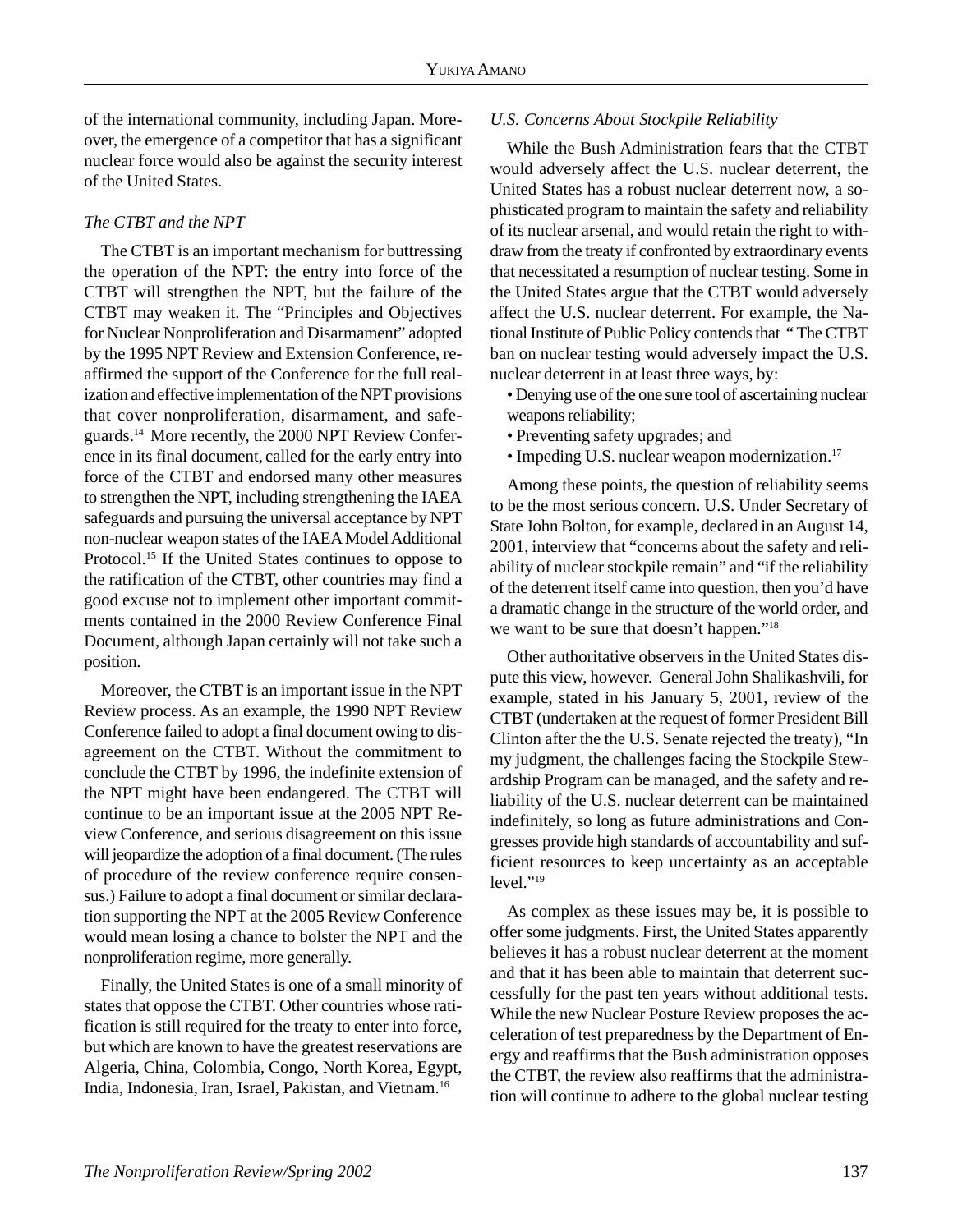of the international community, including Japan. Moreover, the emergence of a competitor that has a significant nuclear force would also be against the security interest of the United States.

#### *The CTBT and the NPT*

The CTBT is an important mechanism for buttressing the operation of the NPT: the entry into force of the CTBT will strengthen the NPT, but the failure of the CTBT may weaken it. The "Principles and Objectives for Nuclear Nonproliferation and Disarmament" adopted by the 1995 NPT Review and Extension Conference, reaffirmed the support of the Conference for the full realization and effective implementation of the NPT provisions that cover nonproliferation, disarmament, and safeguards.14 More recently, the 2000 NPT Review Conference in its final document, called for the early entry into force of the CTBT and endorsed many other measures to strengthen the NPT, including strengthening the IAEA safeguards and pursuing the universal acceptance by NPT non-nuclear weapon states of the IAEA Model Additional Protocol.15 If the United States continues to oppose to the ratification of the CTBT, other countries may find a good excuse not to implement other important commitments contained in the 2000 Review Conference Final Document, although Japan certainly will not take such a position.

Moreover, the CTBT is an important issue in the NPT Review process. As an example, the 1990 NPT Review Conference failed to adopt a final document owing to disagreement on the CTBT. Without the commitment to conclude the CTBT by 1996, the indefinite extension of the NPT might have been endangered. The CTBT will continue to be an important issue at the 2005 NPT Review Conference, and serious disagreement on this issue will jeopardize the adoption of a final document. (The rules of procedure of the review conference require consensus.) Failure to adopt a final document or similar declaration supporting the NPT at the 2005 Review Conference would mean losing a chance to bolster the NPT and the nonproliferation regime, more generally.

Finally, the United States is one of a small minority of states that oppose the CTBT. Other countries whose ratification is still required for the treaty to enter into force, but which are known to have the greatest reservations are Algeria, China, Colombia, Congo, North Korea, Egypt, India, Indonesia, Iran, Israel, Pakistan, and Vietnam.16

#### *U.S. Concerns About Stockpile Reliability*

While the Bush Administration fears that the CTBT would adversely affect the U.S. nuclear deterrent, the United States has a robust nuclear deterrent now, a sophisticated program to maintain the safety and reliability of its nuclear arsenal, and would retain the right to withdraw from the treaty if confronted by extraordinary events that necessitated a resumption of nuclear testing. Some in the United States argue that the CTBT would adversely affect the U.S. nuclear deterrent. For example, the National Institute of Public Policy contends that " The CTBT ban on nuclear testing would adversely impact the U.S. nuclear deterrent in at least three ways, by:

- Denying use of the one sure tool of ascertaining nuclear weapons reliability;
- Preventing safety upgrades; and
- Impeding U.S. nuclear weapon modernization.<sup>17</sup>

Among these points, the question of reliability seems to be the most serious concern. U.S. Under Secretary of State John Bolton, for example, declared in an August 14, 2001, interview that "concerns about the safety and reliability of nuclear stockpile remain" and "if the reliability of the deterrent itself came into question, then you'd have a dramatic change in the structure of the world order, and we want to be sure that doesn't happen."18

Other authoritative observers in the United States dispute this view, however. General John Shalikashvili, for example, stated in his January 5, 2001, review of the CTBT (undertaken at the request of former President Bill Clinton after the the U.S. Senate rejected the treaty), "In my judgment, the challenges facing the Stockpile Stewardship Program can be managed, and the safety and reliability of the U.S. nuclear deterrent can be maintained indefinitely, so long as future administrations and Congresses provide high standards of accountability and sufficient resources to keep uncertainty as an acceptable level."<sup>19</sup>

As complex as these issues may be, it is possible to offer some judgments. First, the United States apparently believes it has a robust nuclear deterrent at the moment and that it has been able to maintain that deterrent successfully for the past ten years without additional tests. While the new Nuclear Posture Review proposes the acceleration of test preparedness by the Department of Energy and reaffirms that the Bush administration opposes the CTBT, the review also reaffirms that the administration will continue to adhere to the global nuclear testing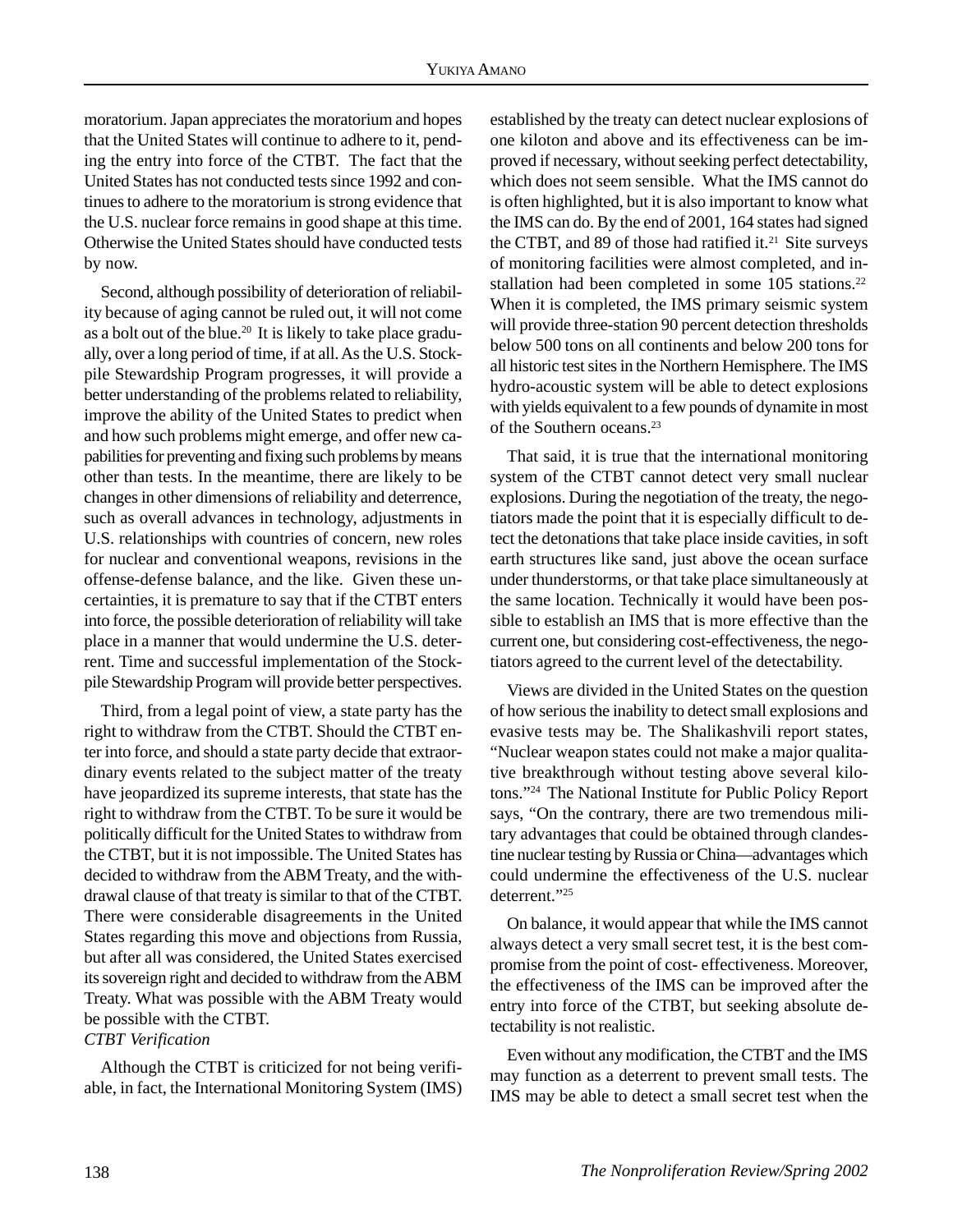moratorium. Japan appreciates the moratorium and hopes that the United States will continue to adhere to it, pending the entry into force of the CTBT. The fact that the United States has not conducted tests since 1992 and continues to adhere to the moratorium is strong evidence that the U.S. nuclear force remains in good shape at this time. Otherwise the United States should have conducted tests by now.

Second, although possibility of deterioration of reliability because of aging cannot be ruled out, it will not come as a bolt out of the blue.<sup>20</sup> It is likely to take place gradually, over a long period of time, if at all. As the U.S. Stockpile Stewardship Program progresses, it will provide a better understanding of the problems related to reliability, improve the ability of the United States to predict when and how such problems might emerge, and offer new capabilities for preventing and fixing such problems by means other than tests. In the meantime, there are likely to be changes in other dimensions of reliability and deterrence, such as overall advances in technology, adjustments in U.S. relationships with countries of concern, new roles for nuclear and conventional weapons, revisions in the offense-defense balance, and the like. Given these uncertainties, it is premature to say that if the CTBT enters into force, the possible deterioration of reliability will take place in a manner that would undermine the U.S. deterrent. Time and successful implementation of the Stockpile Stewardship Program will provide better perspectives.

Third, from a legal point of view, a state party has the right to withdraw from the CTBT. Should the CTBT enter into force, and should a state party decide that extraordinary events related to the subject matter of the treaty have jeopardized its supreme interests, that state has the right to withdraw from the CTBT. To be sure it would be politically difficult for the United States to withdraw from the CTBT, but it is not impossible. The United States has decided to withdraw from the ABM Treaty, and the withdrawal clause of that treaty is similar to that of the CTBT. There were considerable disagreements in the United States regarding this move and objections from Russia, but after all was considered, the United States exercised its sovereign right and decided to withdraw from the ABM Treaty. What was possible with the ABM Treaty would be possible with the CTBT.

#### *CTBT Verification*

Although the CTBT is criticized for not being verifiable, in fact, the International Monitoring System (IMS) established by the treaty can detect nuclear explosions of one kiloton and above and its effectiveness can be improved if necessary, without seeking perfect detectability, which does not seem sensible.What the IMS cannot do is often highlighted, but it is also important to know what the IMS can do. By the end of 2001, 164 states had signed the CTBT, and 89 of those had ratified it.<sup>21</sup> Site surveys of monitoring facilities were almost completed, and installation had been completed in some 105 stations.<sup>22</sup> When it is completed, the IMS primary seismic system will provide three-station 90 percent detection thresholds below 500 tons on all continents and below 200 tons for all historic test sites in the Northern Hemisphere. The IMS hydro-acoustic system will be able to detect explosions with yields equivalent to a few pounds of dynamite in most of the Southern oceans.23

That said, it is true that the international monitoring system of the CTBT cannot detect very small nuclear explosions. During the negotiation of the treaty, the negotiators made the point that it is especially difficult to detect the detonations that take place inside cavities, in soft earth structures like sand, just above the ocean surface under thunderstorms, or that take place simultaneously at the same location. Technically it would have been possible to establish an IMS that is more effective than the current one, but considering cost-effectiveness, the negotiators agreed to the current level of the detectability.

Views are divided in the United States on the question of how serious the inability to detect small explosions and evasive tests may be. The Shalikashvili report states, "Nuclear weapon states could not make a major qualitative breakthrough without testing above several kilotons."24 The National Institute for Public Policy Report says, "On the contrary, there are two tremendous military advantages that could be obtained through clandestine nuclear testing by Russia or China—advantages which could undermine the effectiveness of the U.S. nuclear deterrent."25

On balance, it would appear that while the IMS cannot always detect a very small secret test, it is the best compromise from the point of cost- effectiveness. Moreover, the effectiveness of the IMS can be improved after the entry into force of the CTBT, but seeking absolute detectability is not realistic.

Even without any modification, the CTBT and the IMS may function as a deterrent to prevent small tests. The IMS may be able to detect a small secret test when the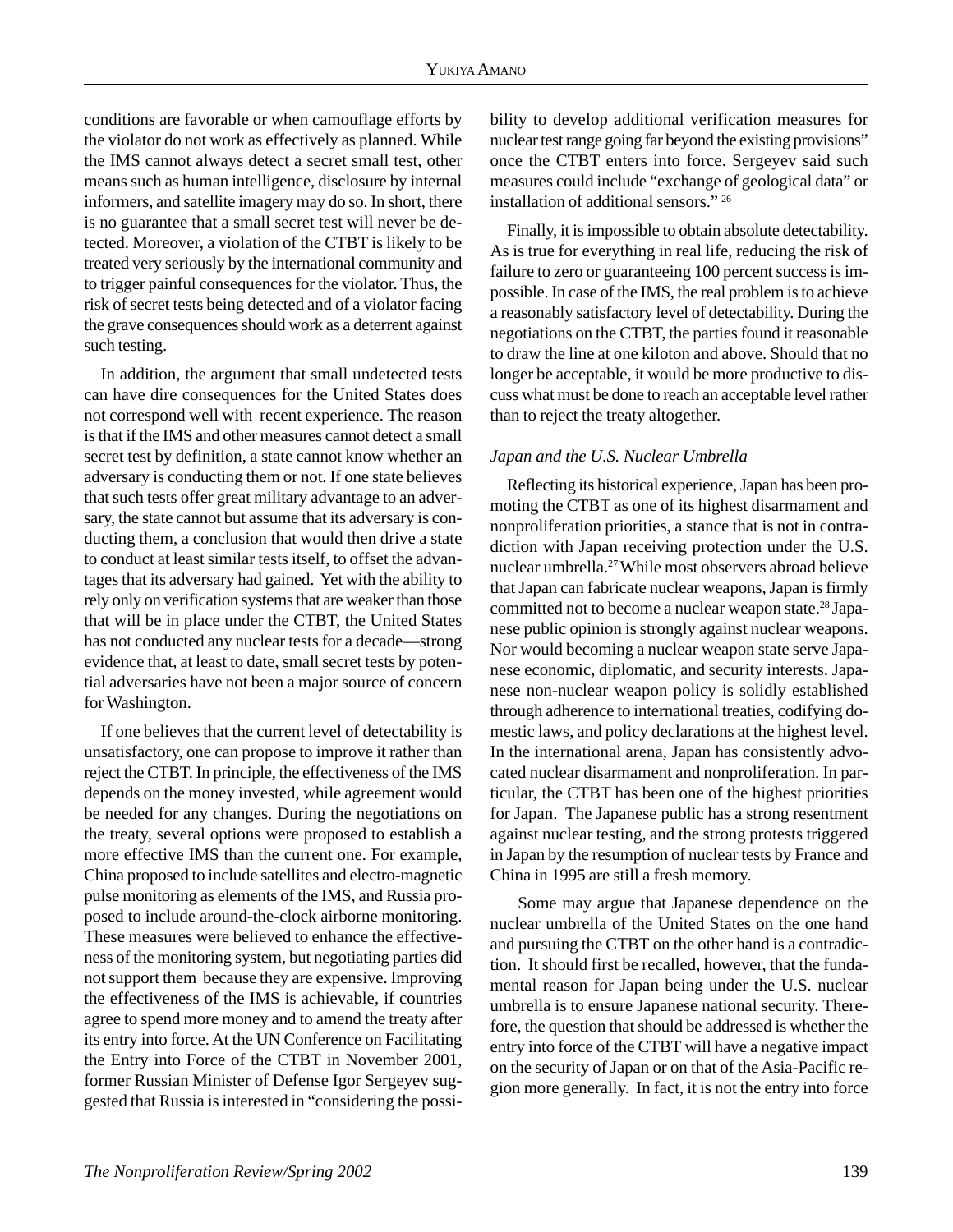conditions are favorable or when camouflage efforts by the violator do not work as effectively as planned. While the IMS cannot always detect a secret small test, other means such as human intelligence, disclosure by internal informers, and satellite imagery may do so. In short, there is no guarantee that a small secret test will never be detected. Moreover, a violation of the CTBT is likely to be treated very seriously by the international community and to trigger painful consequences for the violator. Thus, the risk of secret tests being detected and of a violator facing the grave consequences should work as a deterrent against such testing.

In addition, the argument that small undetected tests can have dire consequences for the United States does not correspond well with recent experience. The reason is that if the IMS and other measures cannot detect a small secret test by definition, a state cannot know whether an adversary is conducting them or not. If one state believes that such tests offer great military advantage to an adversary, the state cannot but assume that its adversary is conducting them, a conclusion that would then drive a state to conduct at least similar tests itself, to offset the advantages that its adversary had gained. Yet with the ability to rely only on verification systems that are weaker than those that will be in place under the CTBT, the United States has not conducted any nuclear tests for a decade—strong evidence that, at least to date, small secret tests by potential adversaries have not been a major source of concern for Washington.

If one believes that the current level of detectability is unsatisfactory, one can propose to improve it rather than reject the CTBT. In principle, the effectiveness of the IMS depends on the money invested, while agreement would be needed for any changes. During the negotiations on the treaty, several options were proposed to establish a more effective IMS than the current one. For example, China proposed to include satellites and electro-magnetic pulse monitoring as elements of the IMS, and Russia proposed to include around-the-clock airborne monitoring. These measures were believed to enhance the effectiveness of the monitoring system, but negotiating parties did not support them because they are expensive. Improving the effectiveness of the IMS is achievable, if countries agree to spend more money and to amend the treaty after its entry into force. At the UN Conference on Facilitating the Entry into Force of the CTBT in November 2001, former Russian Minister of Defense Igor Sergeyev suggested that Russia is interested in "considering the possibility to develop additional verification measures for nuclear test range going far beyond the existing provisions" once the CTBT enters into force. Sergeyev said such measures could include "exchange of geological data" or installation of additional sensors." 26

Finally, it is impossible to obtain absolute detectability. As is true for everything in real life, reducing the risk of failure to zero or guaranteeing 100 percent success is impossible. In case of the IMS, the real problem is to achieve a reasonably satisfactory level of detectability. During the negotiations on the CTBT, the parties found it reasonable to draw the line at one kiloton and above. Should that no longer be acceptable, it would be more productive to discuss what must be done to reach an acceptable level rather than to reject the treaty altogether.

#### *Japan and the U.S. Nuclear Umbrella*

Reflecting its historical experience, Japan has been promoting the CTBT as one of its highest disarmament and nonproliferation priorities, a stance that is not in contradiction with Japan receiving protection under the U.S. nuclear umbrella.27 While most observers abroad believe that Japan can fabricate nuclear weapons, Japan is firmly committed not to become a nuclear weapon state.<sup>28</sup> Japanese public opinion is strongly against nuclear weapons. Nor would becoming a nuclear weapon state serve Japanese economic, diplomatic, and security interests. Japanese non-nuclear weapon policy is solidly established through adherence to international treaties, codifying domestic laws, and policy declarations at the highest level. In the international arena, Japan has consistently advocated nuclear disarmament and nonproliferation. In particular, the CTBT has been one of the highest priorities for Japan. The Japanese public has a strong resentment against nuclear testing, and the strong protests triggered in Japan by the resumption of nuclear tests by France and China in 1995 are still a fresh memory.

 Some may argue that Japanese dependence on the nuclear umbrella of the United States on the one hand and pursuing the CTBT on the other hand is a contradiction. It should first be recalled, however, that the fundamental reason for Japan being under the U.S. nuclear umbrella is to ensure Japanese national security. Therefore, the question that should be addressed is whether the entry into force of the CTBT will have a negative impact on the security of Japan or on that of the Asia-Pacific region more generally. In fact, it is not the entry into force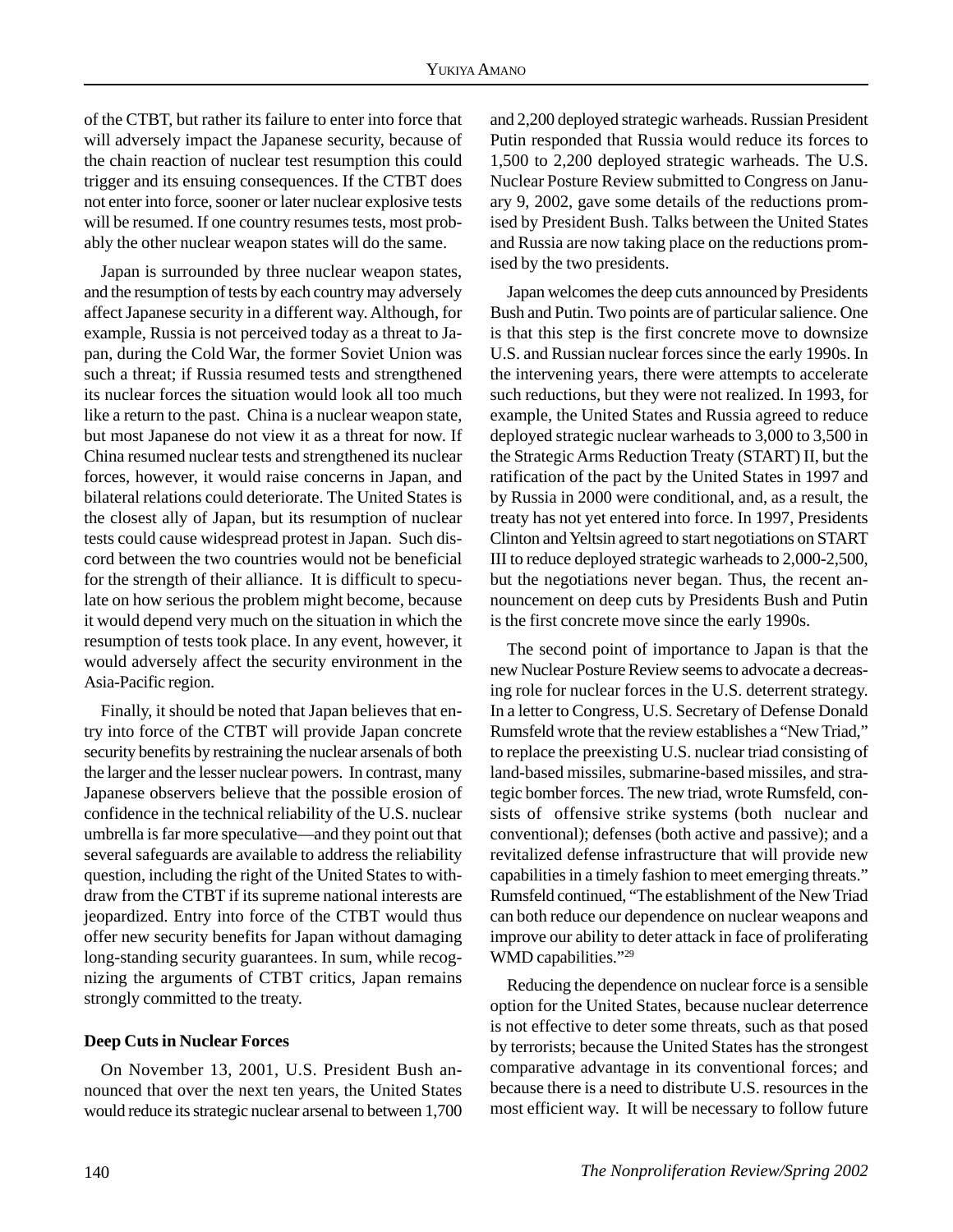of the CTBT, but rather its failure to enter into force that will adversely impact the Japanese security, because of the chain reaction of nuclear test resumption this could trigger and its ensuing consequences. If the CTBT does not enter into force, sooner or later nuclear explosive tests will be resumed. If one country resumes tests, most probably the other nuclear weapon states will do the same.

Japan is surrounded by three nuclear weapon states, and the resumption of tests by each country may adversely affect Japanese security in a different way. Although, for example, Russia is not perceived today as a threat to Japan, during the Cold War, the former Soviet Union was such a threat; if Russia resumed tests and strengthened its nuclear forces the situation would look all too much like a return to the past. China is a nuclear weapon state, but most Japanese do not view it as a threat for now. If China resumed nuclear tests and strengthened its nuclear forces, however, it would raise concerns in Japan, and bilateral relations could deteriorate. The United States is the closest ally of Japan, but its resumption of nuclear tests could cause widespread protest in Japan. Such discord between the two countries would not be beneficial for the strength of their alliance. It is difficult to speculate on how serious the problem might become, because it would depend very much on the situation in which the resumption of tests took place. In any event, however, it would adversely affect the security environment in the Asia-Pacific region.

Finally, it should be noted that Japan believes that entry into force of the CTBT will provide Japan concrete security benefits by restraining the nuclear arsenals of both the larger and the lesser nuclear powers. In contrast, many Japanese observers believe that the possible erosion of confidence in the technical reliability of the U.S. nuclear umbrella is far more speculative—and they point out that several safeguards are available to address the reliability question, including the right of the United States to withdraw from the CTBT if its supreme national interests are jeopardized. Entry into force of the CTBT would thus offer new security benefits for Japan without damaging long-standing security guarantees. In sum, while recognizing the arguments of CTBT critics, Japan remains strongly committed to the treaty.

#### **Deep Cuts in Nuclear Forces**

On November 13, 2001, U.S. President Bush announced that over the next ten years, the United States would reduce its strategic nuclear arsenal to between 1,700 and 2,200 deployed strategic warheads. Russian President Putin responded that Russia would reduce its forces to 1,500 to 2,200 deployed strategic warheads. The U.S. Nuclear Posture Review submitted to Congress on January 9, 2002, gave some details of the reductions promised by President Bush. Talks between the United States and Russia are now taking place on the reductions promised by the two presidents.

Japan welcomes the deep cuts announced by Presidents Bush and Putin. Two points are of particular salience. One is that this step is the first concrete move to downsize U.S. and Russian nuclear forces since the early 1990s. In the intervening years, there were attempts to accelerate such reductions, but they were not realized. In 1993, for example, the United States and Russia agreed to reduce deployed strategic nuclear warheads to 3,000 to 3,500 in the Strategic Arms Reduction Treaty (START) II, but the ratification of the pact by the United States in 1997 and by Russia in 2000 were conditional, and, as a result, the treaty has not yet entered into force. In 1997, Presidents Clinton and Yeltsin agreed to start negotiations on START III to reduce deployed strategic warheads to 2,000-2,500, but the negotiations never began. Thus, the recent announcement on deep cuts by Presidents Bush and Putin is the first concrete move since the early 1990s.

The second point of importance to Japan is that the new Nuclear Posture Review seems to advocate a decreasing role for nuclear forces in the U.S. deterrent strategy. In a letter to Congress, U.S. Secretary of Defense Donald Rumsfeld wrote that the review establishes a "New Triad," to replace the preexisting U.S. nuclear triad consisting of land-based missiles, submarine-based missiles, and strategic bomber forces. The new triad, wrote Rumsfeld, consists of offensive strike systems (both nuclear and conventional); defenses (both active and passive); and a revitalized defense infrastructure that will provide new capabilities in a timely fashion to meet emerging threats." Rumsfeld continued, "The establishment of the New Triad can both reduce our dependence on nuclear weapons and improve our ability to deter attack in face of proliferating WMD capabilities."29

Reducing the dependence on nuclear force is a sensible option for the United States, because nuclear deterrence is not effective to deter some threats, such as that posed by terrorists; because the United States has the strongest comparative advantage in its conventional forces; and because there is a need to distribute U.S. resources in the most efficient way. It will be necessary to follow future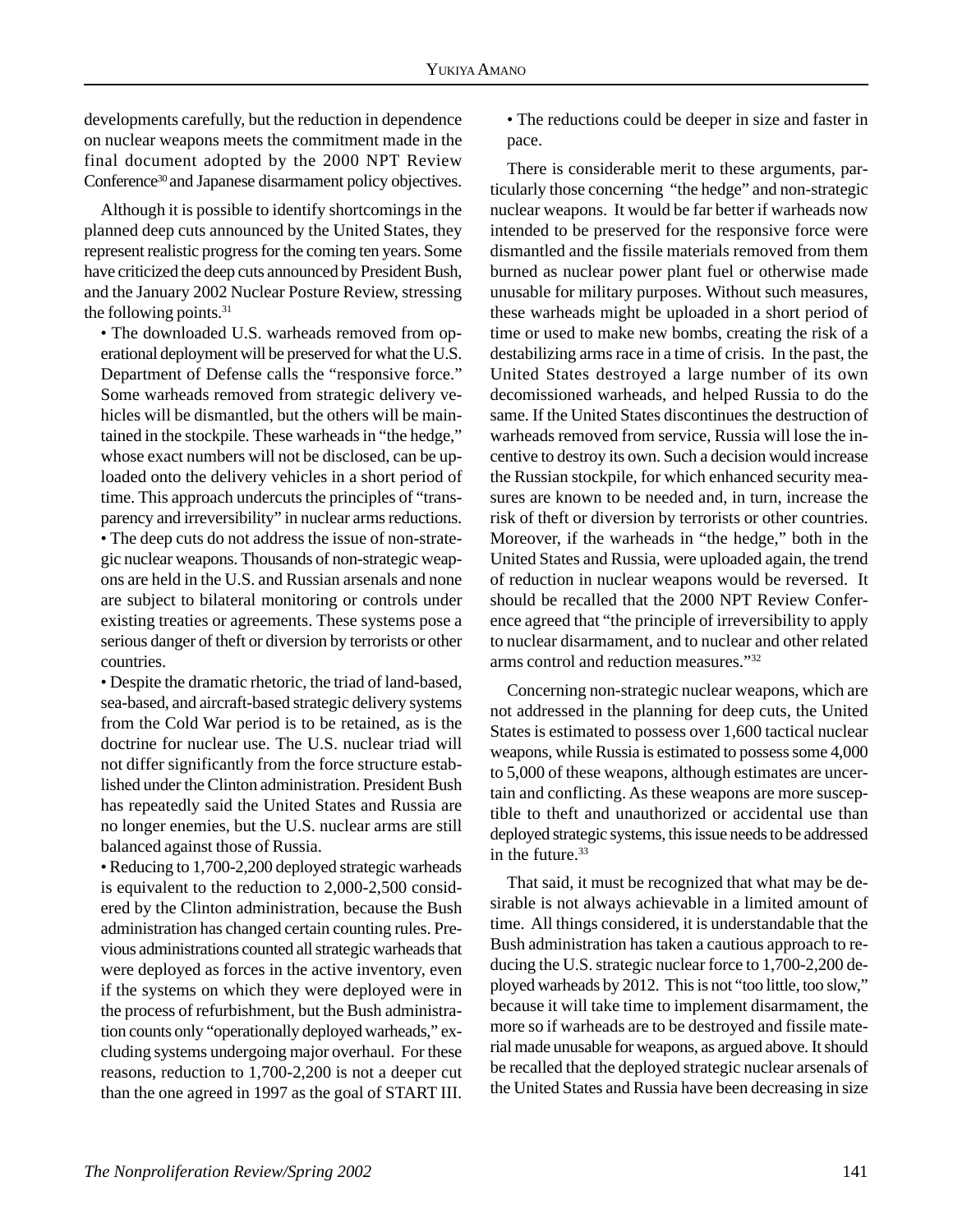developments carefully, but the reduction in dependence on nuclear weapons meets the commitment made in the final document adopted by the 2000 NPT Review Conference<sup>30</sup> and Japanese disarmament policy objectives.

Although it is possible to identify shortcomings in the planned deep cuts announced by the United States, they represent realistic progress for the coming ten years. Some have criticized the deep cuts announced by President Bush, and the January 2002 Nuclear Posture Review, stressing the following points.31

• The downloaded U.S. warheads removed from operational deployment will be preserved for what the U.S. Department of Defense calls the "responsive force." Some warheads removed from strategic delivery vehicles will be dismantled, but the others will be maintained in the stockpile. These warheads in "the hedge," whose exact numbers will not be disclosed, can be uploaded onto the delivery vehicles in a short period of time. This approach undercuts the principles of "transparency and irreversibility" in nuclear arms reductions. • The deep cuts do not address the issue of non-strategic nuclear weapons. Thousands of non-strategic weapons are held in the U.S. and Russian arsenals and none are subject to bilateral monitoring or controls under existing treaties or agreements. These systems pose a serious danger of theft or diversion by terrorists or other countries.

• Despite the dramatic rhetoric, the triad of land-based, sea-based, and aircraft-based strategic delivery systems from the Cold War period is to be retained, as is the doctrine for nuclear use. The U.S. nuclear triad will not differ significantly from the force structure established under the Clinton administration. President Bush has repeatedly said the United States and Russia are no longer enemies, but the U.S. nuclear arms are still balanced against those of Russia.

• Reducing to 1,700-2,200 deployed strategic warheads is equivalent to the reduction to 2,000-2,500 considered by the Clinton administration, because the Bush administration has changed certain counting rules. Previous administrations counted all strategic warheads that were deployed as forces in the active inventory, even if the systems on which they were deployed were in the process of refurbishment, but the Bush administration counts only "operationally deployed warheads," excluding systems undergoing major overhaul. For these reasons, reduction to 1,700-2,200 is not a deeper cut than the one agreed in 1997 as the goal of START III.

• The reductions could be deeper in size and faster in pace.

There is considerable merit to these arguments, particularly those concerning "the hedge" and non-strategic nuclear weapons. It would be far better if warheads now intended to be preserved for the responsive force were dismantled and the fissile materials removed from them burned as nuclear power plant fuel or otherwise made unusable for military purposes. Without such measures, these warheads might be uploaded in a short period of time or used to make new bombs, creating the risk of a destabilizing arms race in a time of crisis. In the past, the United States destroyed a large number of its own decomissioned warheads, and helped Russia to do the same. If the United States discontinues the destruction of warheads removed from service, Russia will lose the incentive to destroy its own. Such a decision would increase the Russian stockpile, for which enhanced security measures are known to be needed and, in turn, increase the risk of theft or diversion by terrorists or other countries. Moreover, if the warheads in "the hedge," both in the United States and Russia, were uploaded again, the trend of reduction in nuclear weapons would be reversed. It should be recalled that the 2000 NPT Review Conference agreed that "the principle of irreversibility to apply to nuclear disarmament, and to nuclear and other related arms control and reduction measures."32

Concerning non-strategic nuclear weapons, which are not addressed in the planning for deep cuts, the United States is estimated to possess over 1,600 tactical nuclear weapons, while Russia is estimated to possess some 4,000 to 5,000 of these weapons, although estimates are uncertain and conflicting. As these weapons are more susceptible to theft and unauthorized or accidental use than deployed strategic systems, this issue needs to be addressed in the future.<sup>33</sup>

That said, it must be recognized that what may be desirable is not always achievable in a limited amount of time. All things considered, it is understandable that the Bush administration has taken a cautious approach to reducing the U.S. strategic nuclear force to 1,700-2,200 deployed warheads by 2012. This is not "too little, too slow," because it will take time to implement disarmament, the more so if warheads are to be destroyed and fissile material made unusable for weapons, as argued above. It should be recalled that the deployed strategic nuclear arsenals of the United States and Russia have been decreasing in size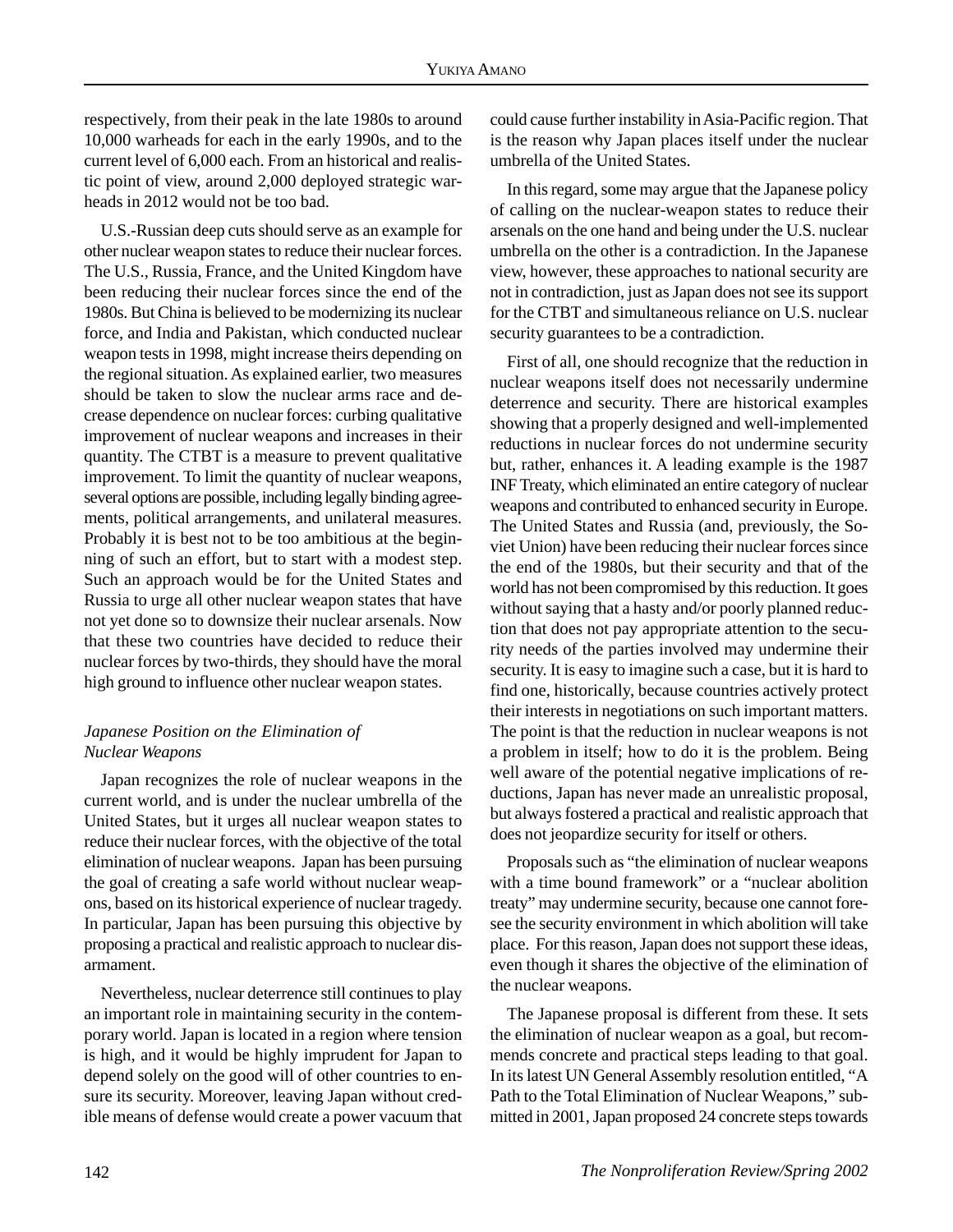respectively, from their peak in the late 1980s to around 10,000 warheads for each in the early 1990s, and to the current level of 6,000 each. From an historical and realistic point of view, around 2,000 deployed strategic warheads in 2012 would not be too bad.

U.S.-Russian deep cuts should serve as an example for other nuclear weapon states to reduce their nuclear forces. The U.S., Russia, France, and the United Kingdom have been reducing their nuclear forces since the end of the 1980s. But China is believed to be modernizing its nuclear force, and India and Pakistan, which conducted nuclear weapon tests in 1998, might increase theirs depending on the regional situation. As explained earlier, two measures should be taken to slow the nuclear arms race and decrease dependence on nuclear forces: curbing qualitative improvement of nuclear weapons and increases in their quantity. The CTBT is a measure to prevent qualitative improvement. To limit the quantity of nuclear weapons, several options are possible, including legally binding agreements, political arrangements, and unilateral measures. Probably it is best not to be too ambitious at the beginning of such an effort, but to start with a modest step. Such an approach would be for the United States and Russia to urge all other nuclear weapon states that have not yet done so to downsize their nuclear arsenals. Now that these two countries have decided to reduce their nuclear forces by two-thirds, they should have the moral high ground to influence other nuclear weapon states.

#### *Japanese Position on the Elimination of Nuclear Weapons*

Japan recognizes the role of nuclear weapons in the current world, and is under the nuclear umbrella of the United States, but it urges all nuclear weapon states to reduce their nuclear forces, with the objective of the total elimination of nuclear weapons.Japan has been pursuing the goal of creating a safe world without nuclear weapons, based on its historical experience of nuclear tragedy. In particular, Japan has been pursuing this objective by proposing a practical and realistic approach to nuclear disarmament.

Nevertheless, nuclear deterrence still continues to play an important role in maintaining security in the contemporary world. Japan is located in a region where tension is high, and it would be highly imprudent for Japan to depend solely on the good will of other countries to ensure its security. Moreover, leaving Japan without credible means of defense would create a power vacuum that could cause further instability in Asia-Pacific region. That is the reason why Japan places itself under the nuclear umbrella of the United States.

In this regard, some may argue that the Japanese policy of calling on the nuclear-weapon states to reduce their arsenals on the one hand and being under the U.S. nuclear umbrella on the other is a contradiction. In the Japanese view, however, these approaches to national security are not in contradiction, just as Japan does not see its support for the CTBT and simultaneous reliance on U.S. nuclear security guarantees to be a contradiction.

First of all, one should recognize that the reduction in nuclear weapons itself does not necessarily undermine deterrence and security. There are historical examples showing that a properly designed and well-implemented reductions in nuclear forces do not undermine security but, rather, enhances it. A leading example is the 1987 INF Treaty, which eliminated an entire category of nuclear weapons and contributed to enhanced security in Europe. The United States and Russia (and, previously, the Soviet Union) have been reducing their nuclear forces since the end of the 1980s, but their security and that of the world has not been compromised by this reduction. It goes without saying that a hasty and/or poorly planned reduction that does not pay appropriate attention to the security needs of the parties involved may undermine their security. It is easy to imagine such a case, but it is hard to find one, historically, because countries actively protect their interests in negotiations on such important matters. The point is that the reduction in nuclear weapons is not a problem in itself; how to do it is the problem. Being well aware of the potential negative implications of reductions, Japan has never made an unrealistic proposal, but always fostered a practical and realistic approach that does not jeopardize security for itself or others.

Proposals such as "the elimination of nuclear weapons with a time bound framework" or a "nuclear abolition treaty" may undermine security, because one cannot foresee the security environment in which abolition will take place. For this reason, Japan does not support these ideas, even though it shares the objective of the elimination of the nuclear weapons.

The Japanese proposal is different from these. It sets the elimination of nuclear weapon as a goal, but recommends concrete and practical steps leading to that goal. In its latest UN General Assembly resolution entitled, "A Path to the Total Elimination of Nuclear Weapons," submitted in 2001, Japan proposed 24 concrete steps towards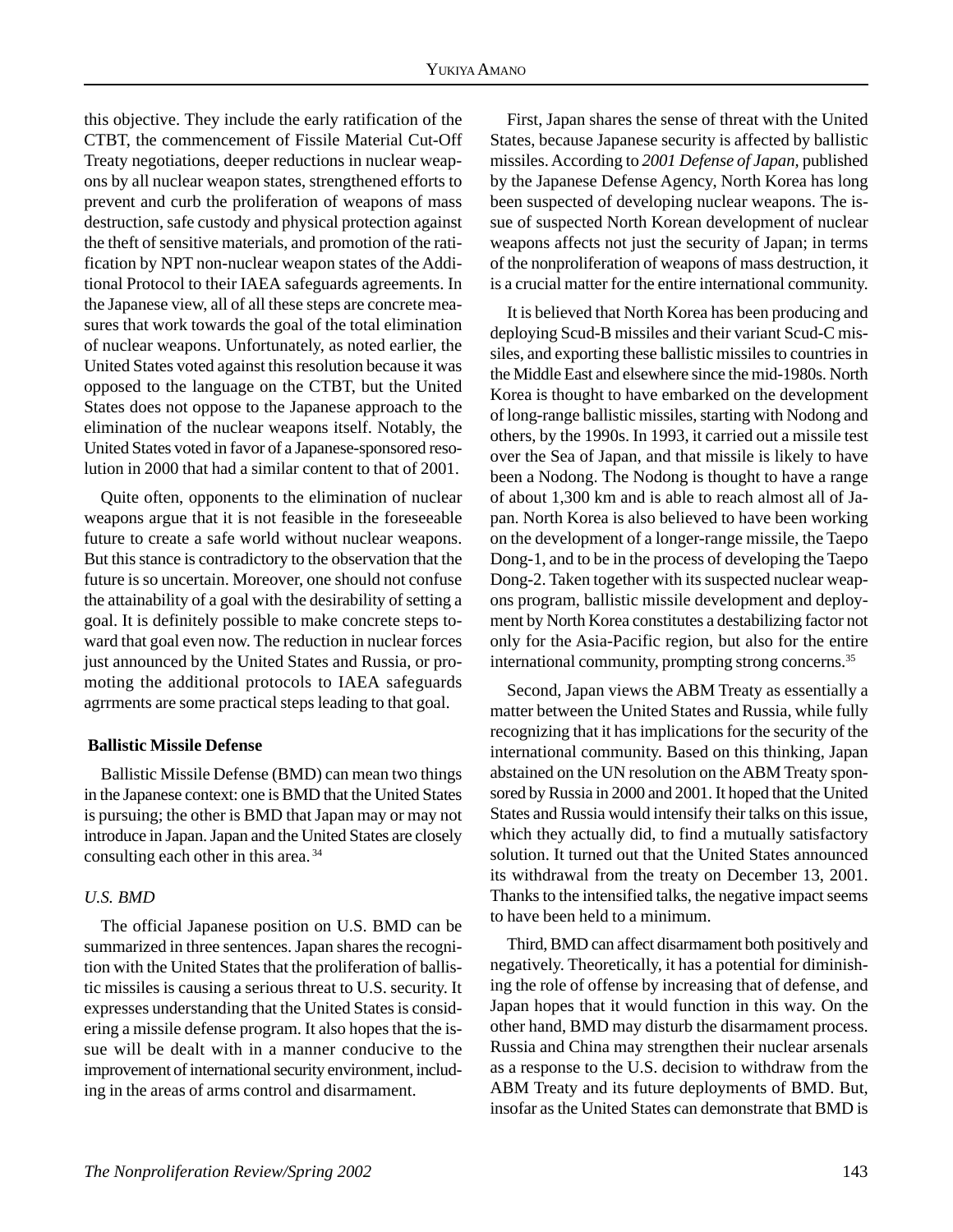this objective. They include the early ratification of the CTBT, the commencement of Fissile Material Cut-Off Treaty negotiations, deeper reductions in nuclear weapons by all nuclear weapon states, strengthened efforts to prevent and curb the proliferation of weapons of mass destruction, safe custody and physical protection against the theft of sensitive materials, and promotion of the ratification by NPT non-nuclear weapon states of the Additional Protocol to their IAEA safeguards agreements. In the Japanese view, all of all these steps are concrete measures that work towards the goal of the total elimination of nuclear weapons. Unfortunately, as noted earlier, the United States voted against this resolution because it was opposed to the language on the CTBT, but the United States does not oppose to the Japanese approach to the elimination of the nuclear weapons itself. Notably, the United States voted in favor of a Japanese-sponsored resolution in 2000 that had a similar content to that of 2001.

Quite often, opponents to the elimination of nuclear weapons argue that it is not feasible in the foreseeable future to create a safe world without nuclear weapons. But this stance is contradictory to the observation that the future is so uncertain. Moreover, one should not confuse the attainability of a goal with the desirability of setting a goal. It is definitely possible to make concrete steps toward that goal even now. The reduction in nuclear forces just announced by the United States and Russia, or promoting the additional protocols to IAEA safeguards agrrments are some practical steps leading to that goal.

#### **Ballistic Missile Defense**

Ballistic Missile Defense (BMD) can mean two things in the Japanese context: one is BMD that the United States is pursuing; the other is BMD that Japan may or may not introduce in Japan. Japan and the United States are closely consulting each other in this area. 34

#### *U.S. BMD*

The official Japanese position on U.S. BMD can be summarized in three sentences. Japan shares the recognition with the United States that the proliferation of ballistic missiles is causing a serious threat to U.S. security. It expresses understanding that the United States is considering a missile defense program. It also hopes that the issue will be dealt with in a manner conducive to the improvement of international security environment, including in the areas of arms control and disarmament.

First, Japan shares the sense of threat with the United States, because Japanese security is affected by ballistic missiles. According to *2001 Defense of Japan,* published by the Japanese Defense Agency, North Korea has long been suspected of developing nuclear weapons. The issue of suspected North Korean development of nuclear weapons affects not just the security of Japan; in terms of the nonproliferation of weapons of mass destruction, it is a crucial matter for the entire international community.

It is believed that North Korea has been producing and deploying Scud-B missiles and their variant Scud-C missiles, and exporting these ballistic missiles to countries in the Middle East and elsewhere since the mid-1980s. North Korea is thought to have embarked on the development of long-range ballistic missiles, starting with Nodong and others, by the 1990s. In 1993, it carried out a missile test over the Sea of Japan, and that missile is likely to have been a Nodong. The Nodong is thought to have a range of about 1,300 km and is able to reach almost all of Japan. North Korea is also believed to have been working on the development of a longer-range missile, the Taepo Dong-1, and to be in the process of developing the Taepo Dong-2. Taken together with its suspected nuclear weapons program, ballistic missile development and deployment by North Korea constitutes a destabilizing factor not only for the Asia-Pacific region, but also for the entire international community, prompting strong concerns.<sup>35</sup>

Second, Japan views the ABM Treaty as essentially a matter between the United States and Russia, while fully recognizing that it has implications for the security of the international community. Based on this thinking, Japan abstained on the UN resolution on the ABM Treaty sponsored by Russia in 2000 and 2001. It hoped that the United States and Russia would intensify their talks on this issue, which they actually did, to find a mutually satisfactory solution. It turned out that the United States announced its withdrawal from the treaty on December 13, 2001. Thanks to the intensified talks, the negative impact seems to have been held to a minimum.

Third, BMD can affect disarmament both positively and negatively. Theoretically, it has a potential for diminishing the role of offense by increasing that of defense, and Japan hopes that it would function in this way. On the other hand, BMD may disturb the disarmament process. Russia and China may strengthen their nuclear arsenals as a response to the U.S. decision to withdraw from the ABM Treaty and its future deployments of BMD. But, insofar as the United States can demonstrate that BMD is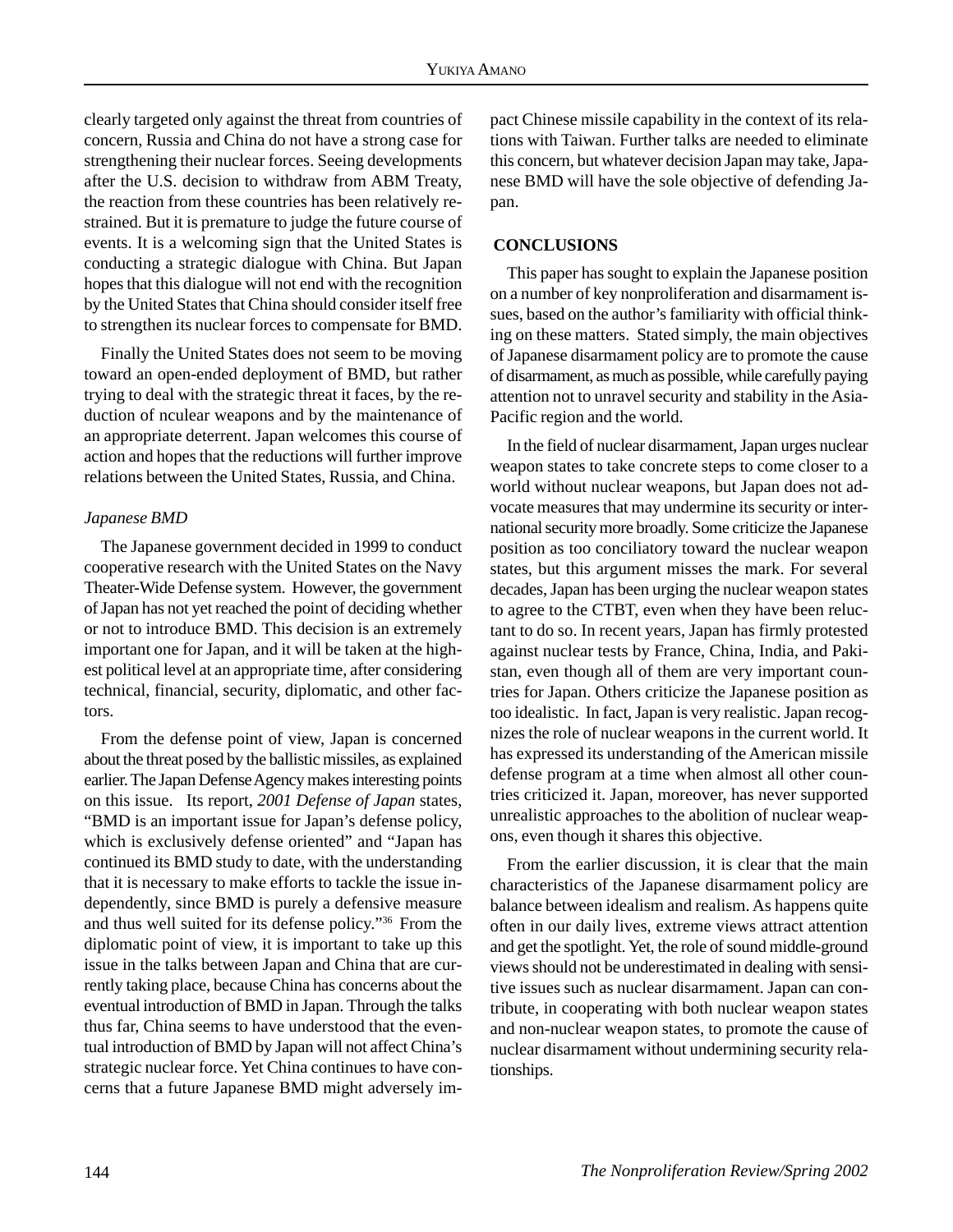clearly targeted only against the threat from countries of concern, Russia and China do not have a strong case for strengthening their nuclear forces. Seeing developments after the U.S. decision to withdraw from ABM Treaty, the reaction from these countries has been relatively restrained. But it is premature to judge the future course of events. It is a welcoming sign that the United States is conducting a strategic dialogue with China. But Japan hopes that this dialogue will not end with the recognition by the United States that China should consider itself free to strengthen its nuclear forces to compensate for BMD.

Finally the United States does not seem to be moving toward an open-ended deployment of BMD, but rather trying to deal with the strategic threat it faces, by the reduction of nculear weapons and by the maintenance of an appropriate deterrent. Japan welcomes this course of action and hopes that the reductions will further improve relations between the United States, Russia, and China.

#### *Japanese BMD*

The Japanese government decided in 1999 to conduct cooperative research with the United States on the Navy Theater-Wide Defense system. However, the government of Japan has not yet reached the point of deciding whether or not to introduce BMD. This decision is an extremely important one for Japan, and it will be taken at the highest political level at an appropriate time, after considering technical, financial, security, diplomatic, and other factors.

From the defense point of view, Japan is concerned about the threat posed by the ballistic missiles, as explained earlier. The Japan Defense Agency makes interesting points on this issue. Its report, *2001 Defense of Japan* states, "BMD is an important issue for Japan's defense policy, which is exclusively defense oriented" and "Japan has continued its BMD study to date, with the understanding that it is necessary to make efforts to tackle the issue independently, since BMD is purely a defensive measure and thus well suited for its defense policy."36 From the diplomatic point of view, it is important to take up this issue in the talks between Japan and China that are currently taking place, because China has concerns about the eventual introduction of BMD in Japan. Through the talks thus far, China seems to have understood that the eventual introduction of BMD by Japan will not affect China's strategic nuclear force. Yet China continues to have concerns that a future Japanese BMD might adversely impact Chinese missile capability in the context of its relations with Taiwan. Further talks are needed to eliminate this concern, but whatever decision Japan may take, Japanese BMD will have the sole objective of defending Japan.

#### **CONCLUSIONS**

This paper has sought to explain the Japanese position on a number of key nonproliferation and disarmament issues, based on the author's familiarity with official thinking on these matters. Stated simply, the main objectives of Japanese disarmament policy are to promote the cause of disarmament, as much as possible, while carefully paying attention not to unravel security and stability in the Asia-Pacific region and the world.

In the field of nuclear disarmament, Japan urges nuclear weapon states to take concrete steps to come closer to a world without nuclear weapons, but Japan does not advocate measures that may undermine its security or international security more broadly. Some criticize the Japanese position as too conciliatory toward the nuclear weapon states, but this argument misses the mark. For several decades, Japan has been urging the nuclear weapon states to agree to the CTBT, even when they have been reluctant to do so. In recent years, Japan has firmly protested against nuclear tests by France, China, India, and Pakistan, even though all of them are very important countries for Japan. Others criticize the Japanese position as too idealistic. In fact, Japan is very realistic. Japan recognizes the role of nuclear weapons in the current world. It has expressed its understanding of the American missile defense program at a time when almost all other countries criticized it. Japan, moreover, has never supported unrealistic approaches to the abolition of nuclear weapons, even though it shares this objective.

From the earlier discussion, it is clear that the main characteristics of the Japanese disarmament policy are balance between idealism and realism. As happens quite often in our daily lives, extreme views attract attention and get the spotlight. Yet, the role of sound middle-ground views should not be underestimated in dealing with sensitive issues such as nuclear disarmament. Japan can contribute, in cooperating with both nuclear weapon states and non-nuclear weapon states, to promote the cause of nuclear disarmament without undermining security relationships.